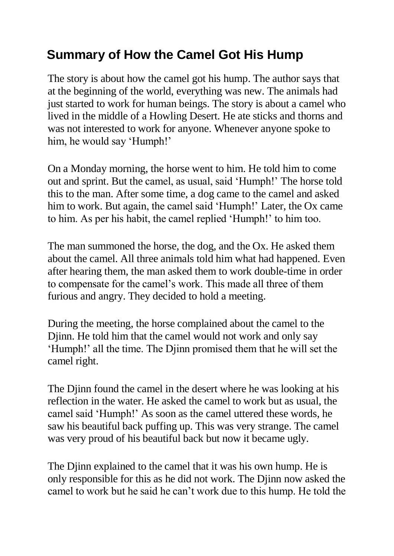## **Summary of How the Camel Got His Hump**

The story is about how the camel got his hump. The author says that at the beginning of the world, everything was new. The animals had just started to work for human beings. The story is about a camel who lived in the middle of a Howling Desert. He ate sticks and thorns and was not interested to work for anyone. Whenever anyone spoke to him, he would say 'Humph!'

On a Monday morning, the horse went to him. He told him to come out and sprint. But the camel, as usual, said 'Humph!' The horse told this to the man. After some time, a dog came to the camel and asked him to work. But again, the camel said 'Humph!' Later, the Ox came to him. As per his habit, the camel replied 'Humph!' to him too.

The man summoned the horse, the dog, and the Ox. He asked them about the camel. All three animals told him what had happened. Even after hearing them, the man asked them to work double-time in order to compensate for the camel's work. This made all three of them furious and angry. They decided to hold a meeting.

During the meeting, the horse complained about the camel to the Djinn. He told him that the camel would not work and only say 'Humph!' all the time. The Djinn promised them that he will set the camel right.

The Djinn found the camel in the desert where he was looking at his reflection in the water. He asked the camel to work but as usual, the camel said 'Humph!' As soon as the camel uttered these words, he saw his beautiful back puffing up. This was very strange. The camel was very proud of his beautiful back but now it became ugly.

The Djinn explained to the camel that it was his own hump. He is only responsible for this as he did not work. The Djinn now asked the camel to work but he said he can't work due to this hump. He told the